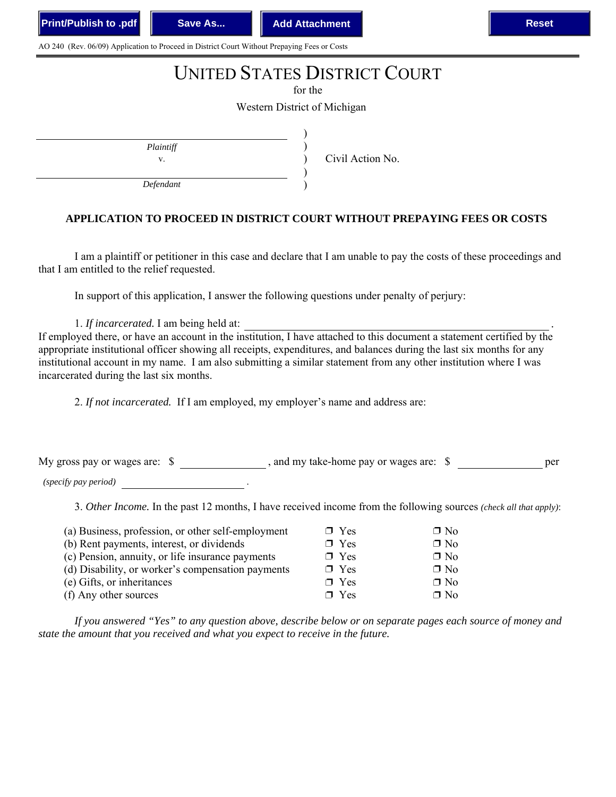AO 240 (Rev. 06/09) Application to Proceed in District Court Without Prepaying Fees or Costs

## UNITED STATES DISTRICT COURT

for the

Western District of Michigan

) ) ) ) )

*Plaintiff*

v. Civil Action No.

*Defendant*

## **APPLICATION TO PROCEED IN DISTRICT COURT WITHOUT PREPAYING FEES OR COSTS**

I am a plaintiff or petitioner in this case and declare that I am unable to pay the costs of these proceedings and that I am entitled to the relief requested.

In support of this application, I answer the following questions under penalty of perjury:

1. *If incarcerated*. I am being held at:

If employed there, or have an account in the institution, I have attached to this document a statement certified by the appropriate institutional officer showing all receipts, expenditures, and balances during the last six months for any institutional account in my name. I am also submitting a similar statement from any other institution where I was incarcerated during the last six months.

2. *If not incarcerated.* If I am employed, my employer's name and address are:

My gross pay or wages are:  $\$$ , and my take-home pay or wages are:  $\$$ 

*(specify pay period)* .

3. *Other Income.* In the past 12 months, I have received income from the following sources *(check all that apply)*:

| (a) Business, profession, or other self-employment | $\Box$ Yes         | $\Box$ No |
|----------------------------------------------------|--------------------|-----------|
| (b) Rent payments, interest, or dividends          | $\Box$ Yes         | $\Box$ No |
| (c) Pension, annuity, or life insurance payments   | $\Box$ Yes         | $\Box$ No |
| (d) Disability, or worker's compensation payments  | $\Box$ Yes         | $\Box$ No |
| (e) Gifts, or inheritances                         | $\Box$ Yes         | $\Box$ No |
| (f) Any other sources                              | $\blacksquare$ Yes | $\Box$ No |

*If you answered "Yes" to any question above, describe below or on separate pages each source of money and state the amount that you received and what you expect to receive in the future.*